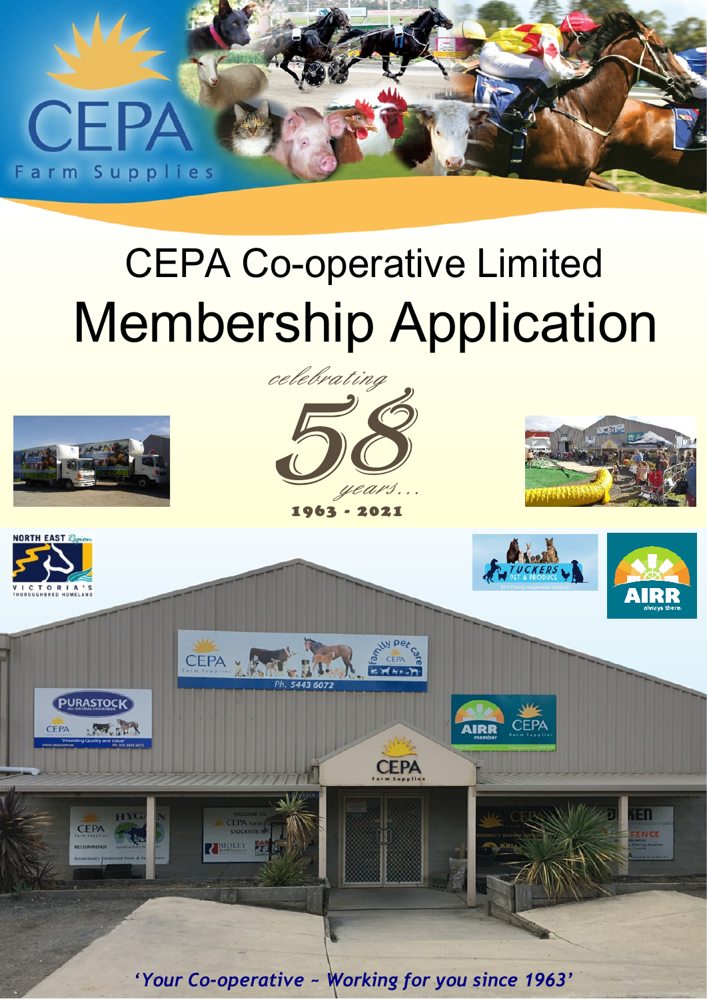

# CEPA Co-operative Limited Membership Application







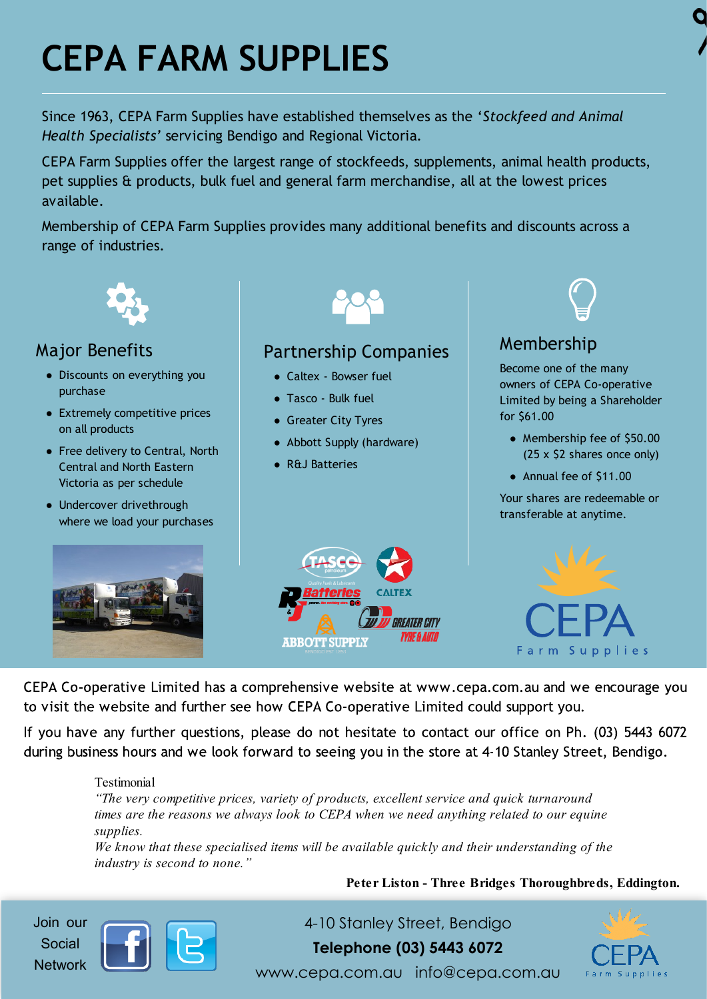## **CEPA FARM SUPPLIES**

Since 1963, CEPA Farm Supplies have established themselves as the '*Stockfeed and Animal Health Specialists'* servicing Bendigo and Regional Victoria.

CEPA Farm Supplies offer the largest range of stockfeeds, supplements, animal health products, pet supplies & products, bulk fuel and general farm merchandise, all at the lowest prices available.

Membership of CEPA Farm Supplies provides many additional benefits and discounts across a range of industries.



CEPA Co-operative Limited has a comprehensive website at www.cepa.com.au and we encourage you to visit the website and further see how CEPA Co-operative Limited could support you.

If you have any further questions, please do not hesitate to contact our office on Ph. (03) 5443 6072 during business hours and we look forward to seeing you in the store at 4-10 Stanley Street, Bendigo.

#### Testimonial

*"The very competitive prices, variety of products, excellent service and quick turnaround times are the reasons we always look to CEPA when we need anything related to our equine supplies.*

*We know that these specialised items will be available quickly and their understanding of the industry is second to none."*

**Peter Liston - Three Bridges Thoroughbreds, Eddington.**

Join our Social **Network** 



4-10 Stanley Street, Bendigo **Telephone (03) 5443 6072**



www.cepa.com.au info@cepa.com.au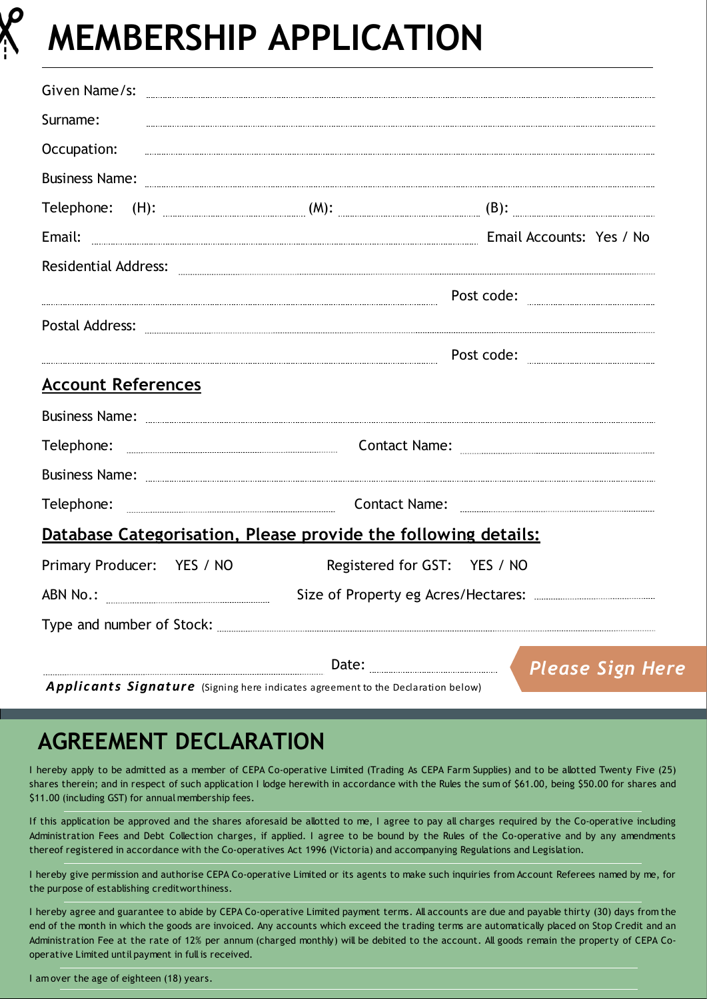

### **MEMBERSHIP APPLICATION**

| Given Name/s: 2008 Civen Name/s: 2008 Civen Name / State Management Civen Name / State Management Civen Name / St                                                                                                                                                                |                                                                                                 |                                                                                                                                                                                                                                                                                                                                                                                                                   |
|----------------------------------------------------------------------------------------------------------------------------------------------------------------------------------------------------------------------------------------------------------------------------------|-------------------------------------------------------------------------------------------------|-------------------------------------------------------------------------------------------------------------------------------------------------------------------------------------------------------------------------------------------------------------------------------------------------------------------------------------------------------------------------------------------------------------------|
| Surname:                                                                                                                                                                                                                                                                         |                                                                                                 |                                                                                                                                                                                                                                                                                                                                                                                                                   |
| Occupation:                                                                                                                                                                                                                                                                      |                                                                                                 |                                                                                                                                                                                                                                                                                                                                                                                                                   |
| Business Name: <b>Example 2018</b> Name:                                                                                                                                                                                                                                         |                                                                                                 |                                                                                                                                                                                                                                                                                                                                                                                                                   |
|                                                                                                                                                                                                                                                                                  |                                                                                                 |                                                                                                                                                                                                                                                                                                                                                                                                                   |
| Email: <u>Email: Email Accounts:</u> Yes / No                                                                                                                                                                                                                                    |                                                                                                 |                                                                                                                                                                                                                                                                                                                                                                                                                   |
| Residential Address: Electronic Construction (Construction Construction Construction Construction Construction                                                                                                                                                                   |                                                                                                 |                                                                                                                                                                                                                                                                                                                                                                                                                   |
|                                                                                                                                                                                                                                                                                  |                                                                                                 | $\textbf{Post code: } \begin{tabular}{cc} \textbf{} & \textbf{} & \textbf{} \\ \textbf{} & \textbf{} & \textbf{} \\ \textbf{} & \textbf{} & \textbf{} \\ \textbf{} & \textbf{} & \textbf{} \\ \textbf{} & \textbf{} & \textbf{} \\ \textbf{} & \textbf{} & \textbf{} \\ \textbf{} & \textbf{} & \textbf{} \\ \textbf{} & \textbf{} & \textbf{} \\ \textbf{} & \textbf{} & \textbf{} \\ \textbf{} & \textbf{} & \$ |
|                                                                                                                                                                                                                                                                                  |                                                                                                 |                                                                                                                                                                                                                                                                                                                                                                                                                   |
|                                                                                                                                                                                                                                                                                  |                                                                                                 | Post code:                                                                                                                                                                                                                                                                                                                                                                                                        |
| <b>Account References</b>                                                                                                                                                                                                                                                        |                                                                                                 |                                                                                                                                                                                                                                                                                                                                                                                                                   |
| Business Name: <b>www.communications.communications.communications.communications.communications.communications.communications.com</b>                                                                                                                                           |                                                                                                 |                                                                                                                                                                                                                                                                                                                                                                                                                   |
|                                                                                                                                                                                                                                                                                  |                                                                                                 |                                                                                                                                                                                                                                                                                                                                                                                                                   |
| Business Name: <b>Example 2018</b> Name: <b>Example 2018</b> Name: <b>Example 2018</b> Name: <b>Example 2018</b> Name: <b>Example 2018</b> Name: <b>Example 2018</b> Name: <b>Example 2018</b> Name: <b>Example 2018</b> Name: <b>Example 2018</b> Name: <b>Example 2018</b> Nam |                                                                                                 |                                                                                                                                                                                                                                                                                                                                                                                                                   |
|                                                                                                                                                                                                                                                                                  | Telephone: <u>www.warenum.communicum.communicum.co</u> Contact Name: www.warenum.communicum.com |                                                                                                                                                                                                                                                                                                                                                                                                                   |
| Database Categorisation, Please provide the following details:                                                                                                                                                                                                                   |                                                                                                 |                                                                                                                                                                                                                                                                                                                                                                                                                   |
| Primary Producer: YES / NO                                                                                                                                                                                                                                                       | Registered for GST: YES / NO                                                                    |                                                                                                                                                                                                                                                                                                                                                                                                                   |
|                                                                                                                                                                                                                                                                                  |                                                                                                 |                                                                                                                                                                                                                                                                                                                                                                                                                   |
|                                                                                                                                                                                                                                                                                  |                                                                                                 |                                                                                                                                                                                                                                                                                                                                                                                                                   |
|                                                                                                                                                                                                                                                                                  |                                                                                                 | Date: <u>Case Sign Here</u>                                                                                                                                                                                                                                                                                                                                                                                       |

Applicants Signature (Signing here indicates agreement to the Declaration below)

### **AGREEMENT DECLARATION**

I hereby apply to be admitted as a member of CEPA Co-operative Limited (Trading As CEPA Farm Supplies) and to be allotted Twenty Five (25) shares therein; and in respect of such application I lodge herewith in accordance with the Rules the sum of \$61.00, being \$50.00 for shares and \$11.00 (including GST) for annual membership fees.

If this application be approved and the shares aforesaid be allotted to me, I agree to pay all charges required by the Co-operative including Administration Fees and Debt Collection charges, if applied. I agree to be bound by the Rules of the Co-operative and by any amendments thereof registered in accordance with the Co-operatives Act 1996 (Victoria) and accompanying Regulations and Legislation.

I hereby give permission and authorise CEPA Co-operative Limited or its agents to make such inquiries from Account Referees named by me, for the purpose of establishing creditworthiness.

I hereby agree and guarantee to abide by CEPA Co-operative Limited payment terms. All accounts are due and payable thirty (30) days from the end of the month in which the goods are invoiced. Any accounts which exceed the trading terms are automatically placed on Stop Credit and an Administration Fee at the rate of 12% per annum (charged monthly) will be debited to the account. All goods remain the property of CEPA Cooperative Limited until payment in full is received.